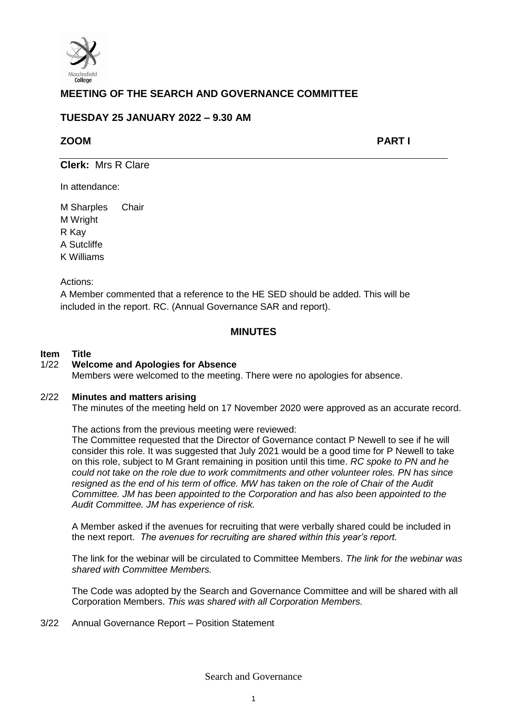

# **MEETING OF THE SEARCH AND GOVERNANCE COMMITTEE**

# **TUESDAY 25 JANUARY 2022 – 9.30 AM**

## **ZOOM PART I**

**Clerk:** Mrs R Clare

In attendance:

M Sharples Chair M Wright R Kay A Sutcliffe K Williams

Actions:

A Member commented that a reference to the HE SED should be added. This will be included in the report. RC. (Annual Governance SAR and report).

## **MINUTES**

## **Item Title**

## 1/22 **Welcome and Apologies for Absence**

Members were welcomed to the meeting. There were no apologies for absence.

## 2/22 **Minutes and matters arising**

The minutes of the meeting held on 17 November 2020 were approved as an accurate record.

The actions from the previous meeting were reviewed: The Committee requested that the Director of Governance contact P Newell to see if he will consider this role. It was suggested that July 2021 would be a good time for P Newell to take on this role, subject to M Grant remaining in position until this time. *RC spoke to PN and he could not take on the role due to work commitments and other volunteer roles. PN has since resigned as the end of his term of office. MW has taken on the role of Chair of the Audit Committee. JM has been appointed to the Corporation and has also been appointed to the Audit Committee. JM has experience of risk.* 

A Member asked if the avenues for recruiting that were verbally shared could be included in the next report. *The avenues for recruiting are shared within this year's report.* 

The link for the webinar will be circulated to Committee Members. *The link for the webinar was shared with Committee Members.* 

The Code was adopted by the Search and Governance Committee and will be shared with all Corporation Members. *This was shared with all Corporation Members.* 

3/22 Annual Governance Report – Position Statement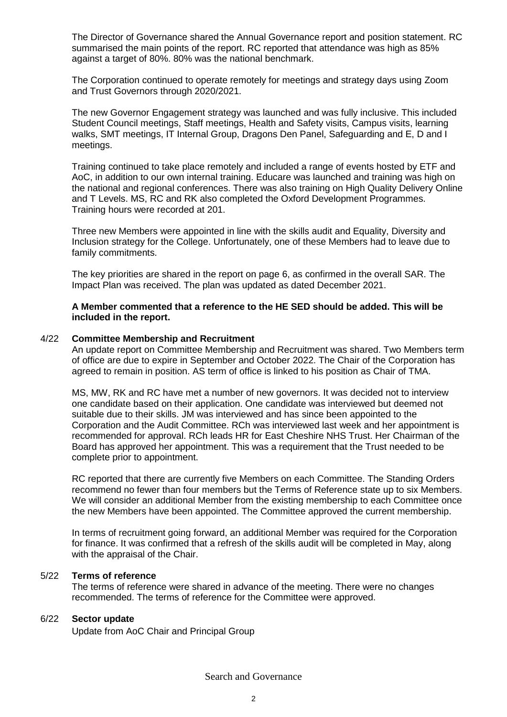The Director of Governance shared the Annual Governance report and position statement. RC summarised the main points of the report. RC reported that attendance was high as 85% against a target of 80%. 80% was the national benchmark.

The Corporation continued to operate remotely for meetings and strategy days using Zoom and Trust Governors through 2020/2021.

The new Governor Engagement strategy was launched and was fully inclusive. This included Student Council meetings, Staff meetings, Health and Safety visits, Campus visits, learning walks, SMT meetings, IT Internal Group, Dragons Den Panel, Safeguarding and E, D and I meetings.

Training continued to take place remotely and included a range of events hosted by ETF and AoC, in addition to our own internal training. Educare was launched and training was high on the national and regional conferences. There was also training on High Quality Delivery Online and T Levels. MS, RC and RK also completed the Oxford Development Programmes. Training hours were recorded at 201.

Three new Members were appointed in line with the skills audit and Equality, Diversity and Inclusion strategy for the College. Unfortunately, one of these Members had to leave due to family commitments.

The key priorities are shared in the report on page 6, as confirmed in the overall SAR. The Impact Plan was received. The plan was updated as dated December 2021.

**A Member commented that a reference to the HE SED should be added. This will be included in the report.** 

#### 4/22 **Committee Membership and Recruitment**

An update report on Committee Membership and Recruitment was shared. Two Members term of office are due to expire in September and October 2022. The Chair of the Corporation has agreed to remain in position. AS term of office is linked to his position as Chair of TMA.

MS, MW, RK and RC have met a number of new governors. It was decided not to interview one candidate based on their application. One candidate was interviewed but deemed not suitable due to their skills. JM was interviewed and has since been appointed to the Corporation and the Audit Committee. RCh was interviewed last week and her appointment is recommended for approval. RCh leads HR for East Cheshire NHS Trust. Her Chairman of the Board has approved her appointment. This was a requirement that the Trust needed to be complete prior to appointment.

RC reported that there are currently five Members on each Committee. The Standing Orders recommend no fewer than four members but the Terms of Reference state up to six Members. We will consider an additional Member from the existing membership to each Committee once the new Members have been appointed. The Committee approved the current membership.

In terms of recruitment going forward, an additional Member was required for the Corporation for finance. It was confirmed that a refresh of the skills audit will be completed in May, along with the appraisal of the Chair.

### 5/22 **Terms of reference**

The terms of reference were shared in advance of the meeting. There were no changes recommended. The terms of reference for the Committee were approved.

## 6/22 **Sector update**

Update from AoC Chair and Principal Group

Search and Governance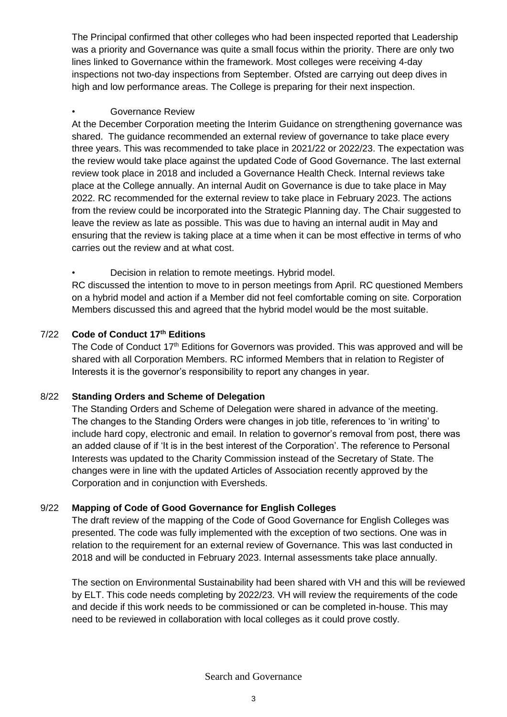The Principal confirmed that other colleges who had been inspected reported that Leadership was a priority and Governance was quite a small focus within the priority. There are only two lines linked to Governance within the framework. Most colleges were receiving 4-day inspections not two-day inspections from September. Ofsted are carrying out deep dives in high and low performance areas. The College is preparing for their next inspection.

## Governance Review

At the December Corporation meeting the Interim Guidance on strengthening governance was shared. The guidance recommended an external review of governance to take place every three years. This was recommended to take place in 2021/22 or 2022/23. The expectation was the review would take place against the updated Code of Good Governance. The last external review took place in 2018 and included a Governance Health Check. Internal reviews take place at the College annually. An internal Audit on Governance is due to take place in May 2022. RC recommended for the external review to take place in February 2023. The actions from the review could be incorporated into the Strategic Planning day. The Chair suggested to leave the review as late as possible. This was due to having an internal audit in May and ensuring that the review is taking place at a time when it can be most effective in terms of who carries out the review and at what cost.

• Decision in relation to remote meetings. Hybrid model.

RC discussed the intention to move to in person meetings from April. RC questioned Members on a hybrid model and action if a Member did not feel comfortable coming on site. Corporation Members discussed this and agreed that the hybrid model would be the most suitable.

# 7/22 **Code of Conduct 17th Editions**

The Code of Conduct 17<sup>th</sup> Editions for Governors was provided. This was approved and will be shared with all Corporation Members. RC informed Members that in relation to Register of Interests it is the governor's responsibility to report any changes in year.

## 8/22 **Standing Orders and Scheme of Delegation**

The Standing Orders and Scheme of Delegation were shared in advance of the meeting. The changes to the Standing Orders were changes in job title, references to 'in writing' to include hard copy, electronic and email. In relation to governor's removal from post, there was an added clause of if 'It is in the best interest of the Corporation'. The reference to Personal Interests was updated to the Charity Commission instead of the Secretary of State. The changes were in line with the updated Articles of Association recently approved by the Corporation and in conjunction with Eversheds.

# 9/22 **Mapping of Code of Good Governance for English Colleges**

The draft review of the mapping of the Code of Good Governance for English Colleges was presented. The code was fully implemented with the exception of two sections. One was in relation to the requirement for an external review of Governance. This was last conducted in 2018 and will be conducted in February 2023. Internal assessments take place annually.

The section on Environmental Sustainability had been shared with VH and this will be reviewed by ELT. This code needs completing by 2022/23. VH will review the requirements of the code and decide if this work needs to be commissioned or can be completed in-house. This may need to be reviewed in collaboration with local colleges as it could prove costly.

Search and Governance